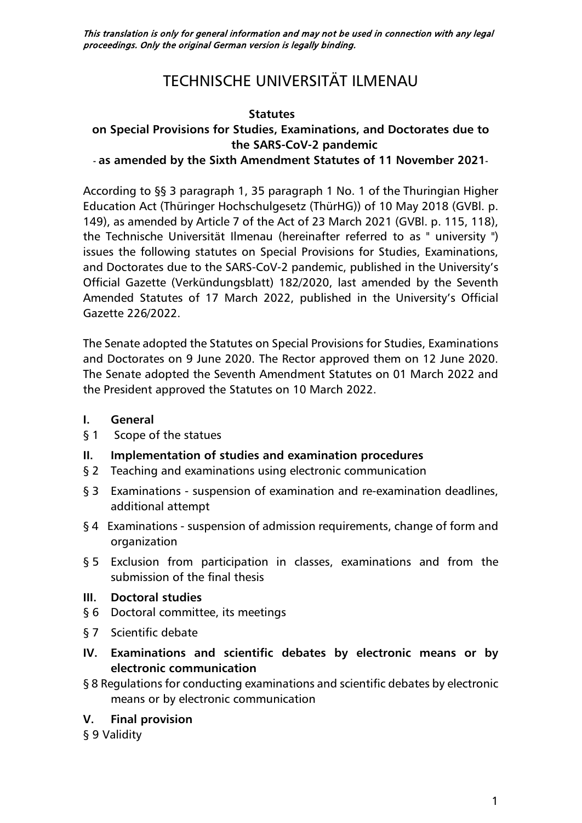This translation is only for general information and may not be used in connection with any legal proceedings. Only the original German version is legally binding.

# TECHNISCHE UNIVERSITÄT ILMENAU

#### **Statutes**

## **on Special Provisions for Studies, Examinations, and Doctorates due to the SARS-CoV-2 pandemic**

#### **- as amended by the Sixth Amendment Statutes of 11 November 2021-**

According to §§ 3 paragraph 1, 35 paragraph 1 No. 1 of the Thuringian Higher Education Act (Thüringer Hochschulgesetz (ThürHG)) of 10 May 2018 (GVBl. p. 149), as amended by Article 7 of the Act of 23 March 2021 (GVBl. p. 115, 118), the Technische Universität Ilmenau (hereinafter referred to as " university ") issues the following statutes on Special Provisions for Studies, Examinations, and Doctorates due to the SARS-CoV-2 pandemic, published in the University's Official Gazette (Verkündungsblatt) 182/2020, last amended by the Seventh Amended Statutes of 17 March 2022, published in the University's Official Gazette 226/2022.

The Senate adopted the Statutes on Special Provisions for Studies, Examinations and Doctorates on 9 June 2020. The Rector approved them on 12 June 2020. The Senate adopted the Seventh Amendment Statutes on 01 March 2022 and the President approved the Statutes on 10 March 2022.

#### **I. [General](#page-1-0)**

- [§ 1 Scope of the statues](#page-1-1)
- **II. [Implementation of studies and examination procedures](#page-1-2)**
- § 2 Teaching and examinations [using electronic communication](#page-1-3)
- § 3 Examinations [suspension of examination and re-examination deadlines,](#page-2-0)  [additional attempt](#page-2-0)
- § 4 Examinations [suspension of admission requirements, change of form and](#page-2-1)  [organization](#page-2-1)
- § 5 Exclusion from participation in classes, examinations and from the [submission of the final thesis](#page-4-0)

#### **III. [Doctoral studies](#page-4-1)**

- [§ 6 Doctoral committee, its meetings](#page-4-2)
- [§ 7 Scientific debate](#page-4-3)
- **IV. [Examinations and scientific debates by electronic means or by](#page-4-4)  [electronic communication](#page-4-4)**
- [§ 8 Regulations for conducting examinations and scientific debates by electronic](#page-4-5)  [means or by electronic communication](#page-4-5)

### **V. [Final provision](#page-5-0)**

[§ 9 Validity](#page-5-1)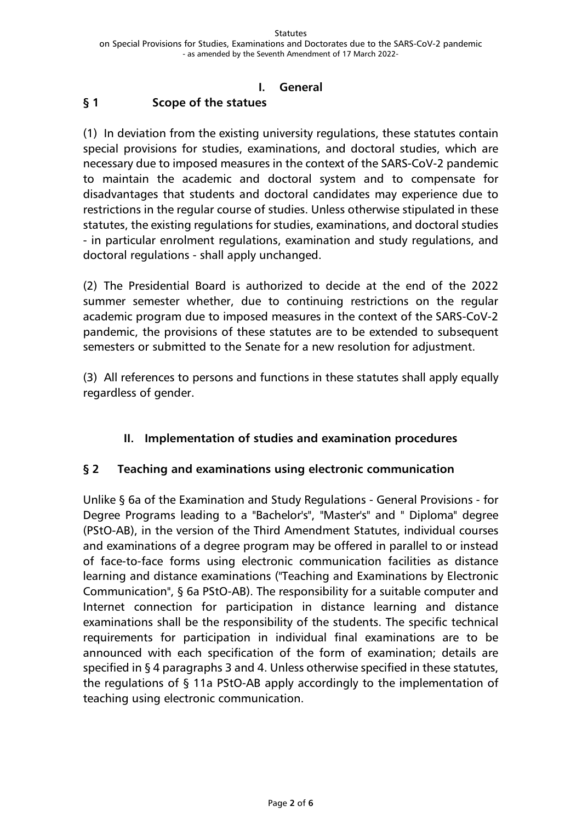#### <span id="page-1-1"></span><span id="page-1-0"></span>**I. General § 1 Scope of the statues**

(1) In deviation from the existing university regulations, these statutes contain special provisions for studies, examinations, and doctoral studies, which are necessary due to imposed measures in the context of the SARS-CoV-2 pandemic to maintain the academic and doctoral system and to compensate for disadvantages that students and doctoral candidates may experience due to restrictions in the regular course of studies. Unless otherwise stipulated in these statutes, the existing regulations for studies, examinations, and doctoral studies - in particular enrolment regulations, examination and study regulations, and doctoral regulations - shall apply unchanged.

(2) The Presidential Board is authorized to decide at the end of the 2022 summer semester whether, due to continuing restrictions on the regular academic program due to imposed measures in the context of the SARS-CoV-2 pandemic, the provisions of these statutes are to be extended to subsequent semesters or submitted to the Senate for a new resolution for adjustment.

(3) All references to persons and functions in these statutes shall apply equally regardless of gender.

## <span id="page-1-2"></span>**II. Implementation of studies and examination procedures**

## <span id="page-1-3"></span>**§ 2 Teaching and examinations using electronic communication**

Unlike § 6a of the Examination and Study Regulations - General Provisions - for Degree Programs leading to a "Bachelor's", "Master's" and " Diploma" degree (PStO-AB), in the version of the Third Amendment Statutes, individual courses and examinations of a degree program may be offered in parallel to or instead of face-to-face forms using electronic communication facilities as distance learning and distance examinations ("Teaching and Examinations by Electronic Communication", § 6a PStO-AB). The responsibility for a suitable computer and Internet connection for participation in distance learning and distance examinations shall be the responsibility of the students. The specific technical requirements for participation in individual final examinations are to be announced with each specification of the form of examination; details are specified in § 4 paragraphs 3 and 4. Unless otherwise specified in these statutes, the regulations of § 11a PStO-AB apply accordingly to the implementation of teaching using electronic communication.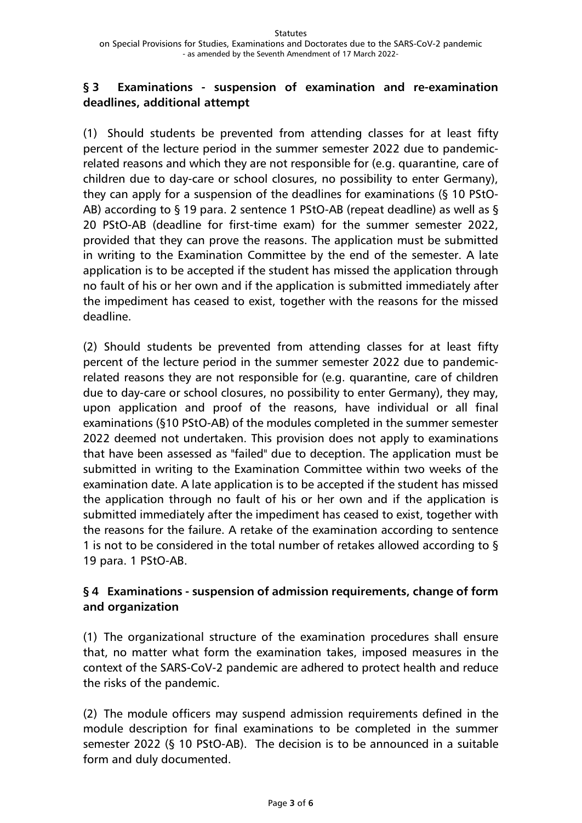#### <span id="page-2-0"></span>**§ 3 Examinations - suspension of examination and re-examination deadlines, additional attempt**

(1) Should students be prevented from attending classes for at least fifty percent of the lecture period in the summer semester 2022 due to pandemicrelated reasons and which they are not responsible for (e.g. quarantine, care of children due to day-care or school closures, no possibility to enter Germany), they can apply for a suspension of the deadlines for examinations (§ 10 PStO-AB) according to § 19 para. 2 sentence 1 PStO-AB (repeat deadline) as well as § 20 PStO-AB (deadline for first-time exam) for the summer semester 2022, provided that they can prove the reasons. The application must be submitted in writing to the Examination Committee by the end of the semester. A late application is to be accepted if the student has missed the application through no fault of his or her own and if the application is submitted immediately after the impediment has ceased to exist, together with the reasons for the missed deadline.

(2) Should students be prevented from attending classes for at least fifty percent of the lecture period in the summer semester 2022 due to pandemicrelated reasons they are not responsible for (e.g. quarantine, care of children due to day-care or school closures, no possibility to enter Germany), they may, upon application and proof of the reasons, have individual or all final examinations (§10 PStO-AB) of the modules completed in the summer semester 2022 deemed not undertaken. This provision does not apply to examinations that have been assessed as "failed" due to deception. The application must be submitted in writing to the Examination Committee within two weeks of the examination date. A late application is to be accepted if the student has missed the application through no fault of his or her own and if the application is submitted immediately after the impediment has ceased to exist, together with the reasons for the failure. A retake of the examination according to sentence 1 is not to be considered in the total number of retakes allowed according to § 19 para. 1 PStO-AB.

## <span id="page-2-1"></span>**§ 4 Examinations - suspension of admission requirements, change of form and organization**

(1) The organizational structure of the examination procedures shall ensure that, no matter what form the examination takes, imposed measures in the context of the SARS-CoV-2 pandemic are adhered to protect health and reduce the risks of the pandemic.

(2) The module officers may suspend admission requirements defined in the module description for final examinations to be completed in the summer semester 2022 (§ 10 PStO-AB). The decision is to be announced in a suitable form and duly documented.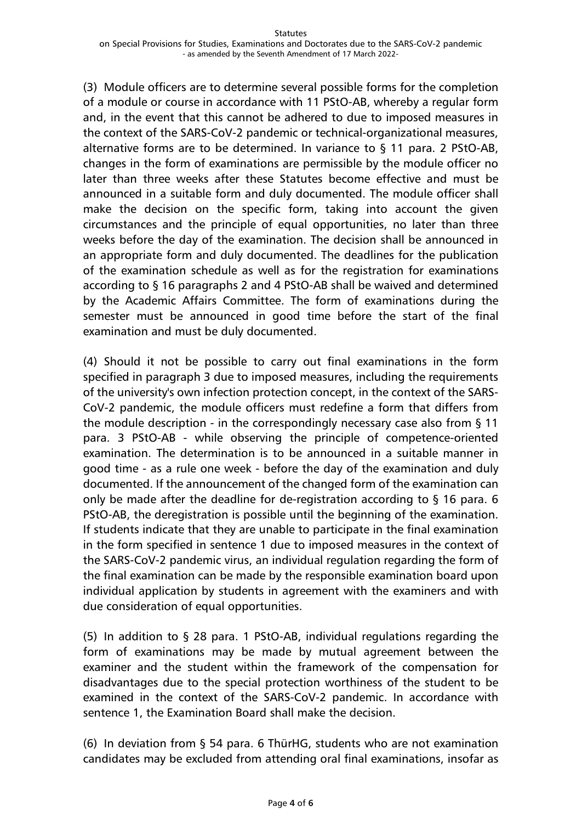(3) Module officers are to determine several possible forms for the completion of a module or course in accordance with 11 PStO-AB, whereby a regular form and, in the event that this cannot be adhered to due to imposed measures in the context of the SARS-CoV-2 pandemic or technical-organizational measures, alternative forms are to be determined. In variance to § 11 para. 2 PStO-AB, changes in the form of examinations are permissible by the module officer no later than three weeks after these Statutes become effective and must be announced in a suitable form and duly documented. The module officer shall make the decision on the specific form, taking into account the given circumstances and the principle of equal opportunities, no later than three weeks before the day of the examination. The decision shall be announced in an appropriate form and duly documented. The deadlines for the publication of the examination schedule as well as for the registration for examinations according to § 16 paragraphs 2 and 4 PStO-AB shall be waived and determined by the Academic Affairs Committee. The form of examinations during the semester must be announced in good time before the start of the final examination and must be duly documented.

(4) Should it not be possible to carry out final examinations in the form specified in paragraph 3 due to imposed measures, including the requirements of the university's own infection protection concept, in the context of the SARS-CoV-2 pandemic, the module officers must redefine a form that differs from the module description - in the correspondingly necessary case also from § 11 para. 3 PStO-AB - while observing the principle of competence-oriented examination. The determination is to be announced in a suitable manner in good time - as a rule one week - before the day of the examination and duly documented. If the announcement of the changed form of the examination can only be made after the deadline for de-registration according to § 16 para. 6 PStO-AB, the deregistration is possible until the beginning of the examination. If students indicate that they are unable to participate in the final examination in the form specified in sentence 1 due to imposed measures in the context of the SARS-CoV-2 pandemic virus, an individual regulation regarding the form of the final examination can be made by the responsible examination board upon individual application by students in agreement with the examiners and with due consideration of equal opportunities.

(5) In addition to § 28 para. 1 PStO-AB, individual regulations regarding the form of examinations may be made by mutual agreement between the examiner and the student within the framework of the compensation for disadvantages due to the special protection worthiness of the student to be examined in the context of the SARS-CoV-2 pandemic. In accordance with sentence 1, the Examination Board shall make the decision.

(6) In deviation from § 54 para. 6 ThürHG, students who are not examination candidates may be excluded from attending oral final examinations, insofar as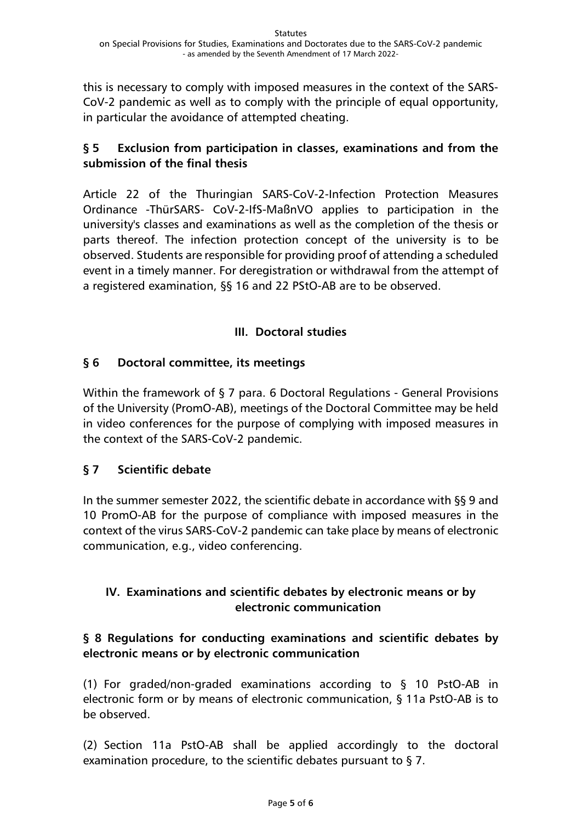this is necessary to comply with imposed measures in the context of the SARS-CoV-2 pandemic as well as to comply with the principle of equal opportunity, in particular the avoidance of attempted cheating.

## <span id="page-4-0"></span>**§ 5 Exclusion from participation in classes, examinations and from the submission of the final thesis**

Article 22 of the Thuringian SARS-CoV-2-Infection Protection Measures Ordinance -ThürSARS- CoV-2-IfS-MaßnVO applies to participation in the university's classes and examinations as well as the completion of the thesis or parts thereof. The infection protection concept of the university is to be observed. Students are responsible for providing proof of attending a scheduled event in a timely manner. For deregistration or withdrawal from the attempt of a registered examination, §§ 16 and 22 PStO-AB are to be observed.

## **III. Doctoral studies**

## <span id="page-4-2"></span><span id="page-4-1"></span>**§ 6 Doctoral committee, its meetings**

Within the framework of § 7 para. 6 Doctoral Regulations - General Provisions of the University (PromO-AB), meetings of the Doctoral Committee may be held in video conferences for the purpose of complying with imposed measures in the context of the SARS-CoV-2 pandemic.

### <span id="page-4-3"></span>**§ 7 Scientific debate**

In the summer semester 2022, the scientific debate in accordance with §§ 9 and 10 PromO-AB for the purpose of compliance with imposed measures in the context of the virus SARS-CoV-2 pandemic can take place by means of electronic communication, e.g., video conferencing.

## <span id="page-4-4"></span>**IV. Examinations and scientific debates by electronic means or by electronic communication**

## <span id="page-4-5"></span>**§ 8 Regulations for conducting examinations and scientific debates by electronic means or by electronic communication**

(1) For graded/non-graded examinations according to § 10 PstO-AB in electronic form or by means of electronic communication, § 11a PstO-AB is to be observed.

(2) Section 11a PstO-AB shall be applied accordingly to the doctoral examination procedure, to the scientific debates pursuant to § 7.